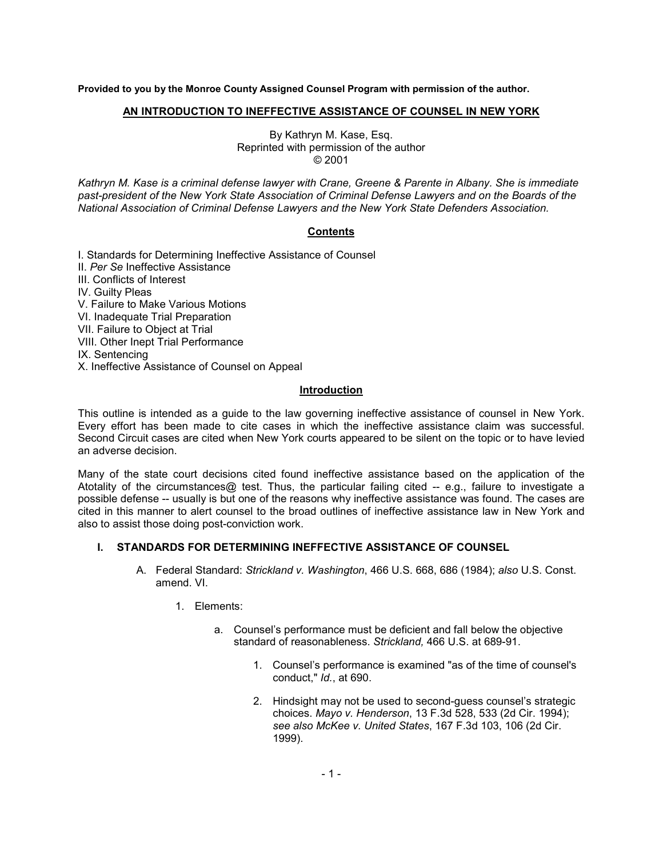**Provided to you by the Monroe County Assigned Counsel Program with permission of the author.**

#### **AN INTRODUCTION TO INEFFECTIVE ASSISTANCE OF COUNSEL IN NEW YORK**

By Kathryn M. Kase, Esq. Reprinted with permission of the author © 2001

*Kathryn M. Kase is a criminal defense lawyer with Crane, Greene & Parente in Albany. She is immediate past-president of the New York State Association of Criminal Defense Lawyers and on the Boards of the National Association of Criminal Defense Lawyers and the New York State Defenders Association.*

## **Contents**

I. Standards for Determining Ineffective Assistance of Counsel II. *Per Se* Ineffective Assistance III. Conflicts of Interest IV. Guilty Pleas V. Failure to Make Various Motions VI. Inadequate Trial Preparation VII. Failure to Object at Trial VIII. Other Inept Trial Performance IX. Sentencing X. Ineffective Assistance of Counsel on Appeal

# **Introduction**

This outline is intended as a guide to the law governing ineffective assistance of counsel in New York. Every effort has been made to cite cases in which the ineffective assistance claim was successful. Second Circuit cases are cited when New York courts appeared to be silent on the topic or to have levied an adverse decision.

Many of the state court decisions cited found ineffective assistance based on the application of the Atotality of the circumstances@ test. Thus, the particular failing cited -- e.g., failure to investigate a possible defense -- usually is but one of the reasons why ineffective assistance was found. The cases are cited in this manner to alert counsel to the broad outlines of ineffective assistance law in New York and also to assist those doing post-conviction work.

#### **I. STANDARDS FOR DETERMINING INEFFECTIVE ASSISTANCE OF COUNSEL**

- A. Federal Standard: *Strickland v. Washington*, 466 U.S. 668, 686 (1984); *also* U.S. Const. amend. VI.
	- 1. Elements:
		- a. Counsel's performance must be deficient and fall below the objective standard of reasonableness. *Strickland,* 466 U.S. at 689-91.
			- 1. Counsel's performance is examined "as of the time of counsel's conduct," *Id.*, at 690.
			- 2. Hindsight may not be used to second-guess counsel's strategic choices. *Mayo v. Henderson*, 13 F.3d 528, 533 (2d Cir. 1994); *see also McKee v. United States*, 167 F.3d 103, 106 (2d Cir. 1999).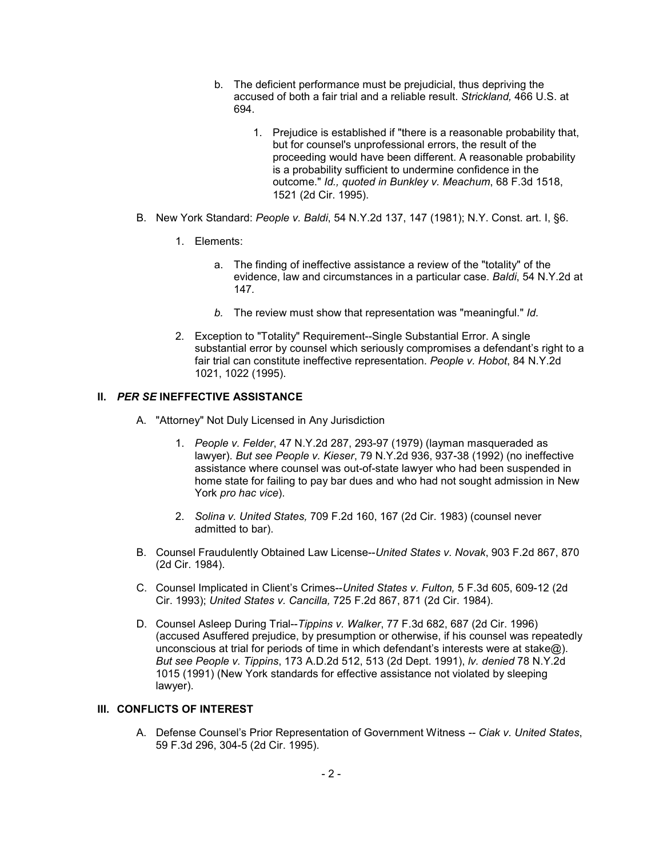- b. The deficient performance must be prejudicial, thus depriving the accused of both a fair trial and a reliable result. *Strickland,* 466 U.S. at 694.
	- 1. Prejudice is established if "there is a reasonable probability that, but for counsel's unprofessional errors, the result of the proceeding would have been different. A reasonable probability is a probability sufficient to undermine confidence in the outcome." *Id., quoted in Bunkley v. Meachum*, 68 F.3d 1518, 1521 (2d Cir. 1995).
- B. New York Standard: *People v. Baldi*, 54 N.Y.2d 137, 147 (1981); N.Y. Const. art. I, §6.
	- 1. Elements:
		- a. The finding of ineffective assistance a review of the "totality" of the evidence, law and circumstances in a particular case. *Baldi*, 54 N.Y.2d at 147*.*
		- *b.* The review must show that representation was "meaningful." *Id.*
	- 2. Exception to "Totality" Requirement--Single Substantial Error. A single substantial error by counsel which seriously compromises a defendant's right to a fair trial can constitute ineffective representation. *People v. Hobot*, 84 N.Y.2d 1021, 1022 (1995).

# **II.** *PER SE* **INEFFECTIVE ASSISTANCE**

- A. "Attorney" Not Duly Licensed in Any Jurisdiction
	- 1. *People v. Felder*, 47 N.Y.2d 287, 293-97 (1979) (layman masqueraded as lawyer). *But see People v. Kieser*, 79 N.Y.2d 936, 937-38 (1992) (no ineffective assistance where counsel was out-of-state lawyer who had been suspended in home state for failing to pay bar dues and who had not sought admission in New York *pro hac vice*).
	- 2. *Solina v. United States,* 709 F.2d 160, 167 (2d Cir. 1983) (counsel never admitted to bar).
- B. Counsel Fraudulently Obtained Law License--*United States v. Novak*, 903 F.2d 867, 870 (2d Cir. 1984).
- C. Counsel Implicated in Client's Crimes--*United States v. Fulton,* 5 F.3d 605, 609-12 (2d Cir. 1993); *United States v. Cancilla,* 725 F.2d 867, 871 (2d Cir. 1984).
- D. Counsel Asleep During Trial--*Tippins v. Walker*, 77 F.3d 682, 687 (2d Cir. 1996) (accused Asuffered prejudice, by presumption or otherwise, if his counsel was repeatedly unconscious at trial for periods of time in which defendant's interests were at stake $@$ ). *But see People v. Tippins*, 173 A.D.2d 512, 513 (2d Dept. 1991), *lv. denied* 78 N.Y.2d 1015 (1991) (New York standards for effective assistance not violated by sleeping lawyer).

#### **III. CONFLICTS OF INTEREST**

A. Defense Counsel's Prior Representation of Government Witness *-- Ciak v. United States*, 59 F.3d 296, 304-5 (2d Cir. 1995).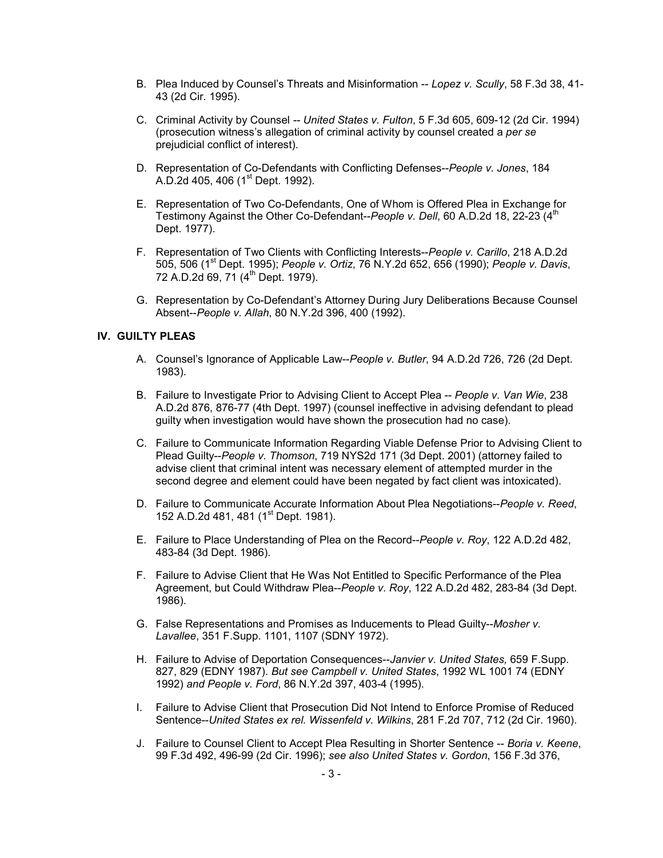- B. Plea Induced by Counsel's Threats and Misinformation -- *Lopez v. Scully*, 58 F.3d 38, 41- 43 (2d Cir. 1995).
- C. Criminal Activity by Counsel *-- United States v. Fulton*, 5 F.3d 605, 609-12 (2d Cir. 1994) (prosecution witness's allegation of criminal activity by counsel created a *per se* prejudicial conflict of interest).
- D. Representation of Co-Defendants with Conflicting Defenses--*People v. Jones*, 184 A.D.2d 405, 406 ( $1<sup>st</sup>$  Dept. 1992).
- E. Representation of Two Co-Defendants, One of Whom is Offered Plea in Exchange for Testimony Against the Other Co-Defendant--People v. Dell, 60 A.D.2d 18, 22-23 (4<sup>th</sup> Dept. 1977).
- F. Representation of Two Clients with Conflicting Interests--*People v. Carillo*, 218 A.D.2d 505, 506 (1st Dept. 1995); *People v. Ortiz*, 76 N.Y.2d 652, 656 (1990); *People v. Davis*, 72 A.D.2d 69, 71 (4<sup>th</sup> Dept. 1979).
- G. Representation by Co-Defendant's Attorney During Jury Deliberations Because Counsel Absent--*People v. Allah*, 80 N.Y.2d 396, 400 (1992).

## **IV. GUILTY PLEAS**

- A. Counsel's Ignorance of Applicable Law--*People v. Butler*, 94 A.D.2d 726, 726 (2d Dept. 1983).
- B. Failure to Investigate Prior to Advising Client to Accept Plea -- *People v. Van Wie*, 238 A.D.2d 876, 876-77 (4th Dept. 1997) (counsel ineffective in advising defendant to plead guilty when investigation would have shown the prosecution had no case).
- C. Failure to Communicate Information Regarding Viable Defense Prior to Advising Client to Plead Guilty--*People v. Thomson*, 719 NYS2d 171 (3d Dept. 2001) (attorney failed to advise client that criminal intent was necessary element of attempted murder in the second degree and element could have been negated by fact client was intoxicated).
- D. Failure to Communicate Accurate Information About Plea Negotiations--*People v. Reed*, 152 A.D.2d 481, 481 (1<sup>st</sup> Dept. 1981).
- E. Failure to Place Understanding of Plea on the Record--*People v. Roy*, 122 A.D.2d 482, 483-84 (3d Dept. 1986).
- F. Failure to Advise Client that He Was Not Entitled to Specific Performance of the Plea Agreement, but Could Withdraw Plea--*People v. Roy*, 122 A.D.2d 482, 283-84 (3d Dept. 1986).
- G. False Representations and Promises as Inducements to Plead Guilty--*Mosher v. Lavallee*, 351 F.Supp. 1101, 1107 (SDNY 1972).
- H. Failure to Advise of Deportation Consequences--*Janvier v. United States,* 659 F.Supp. 827, 829 (EDNY 1987). *But see Campbell v. United States*, 1992 WL 1001 74 (EDNY 1992) *and People v. Ford*, 86 N.Y.2d 397, 403-4 (1995).
- I. Failure to Advise Client that Prosecution Did Not Intend to Enforce Promise of Reduced Sentence--*United States ex rel. Wissenfeld v. Wilkins*, 281 F.2d 707, 712 (2d Cir. 1960).
- J. Failure to Counsel Client to Accept Plea Resulting in Shorter Sentence -- *Boria v. Keene*, 99 F.3d 492, 496-99 (2d Cir. 1996); *see also United States v. Gordon*, 156 F.3d 376,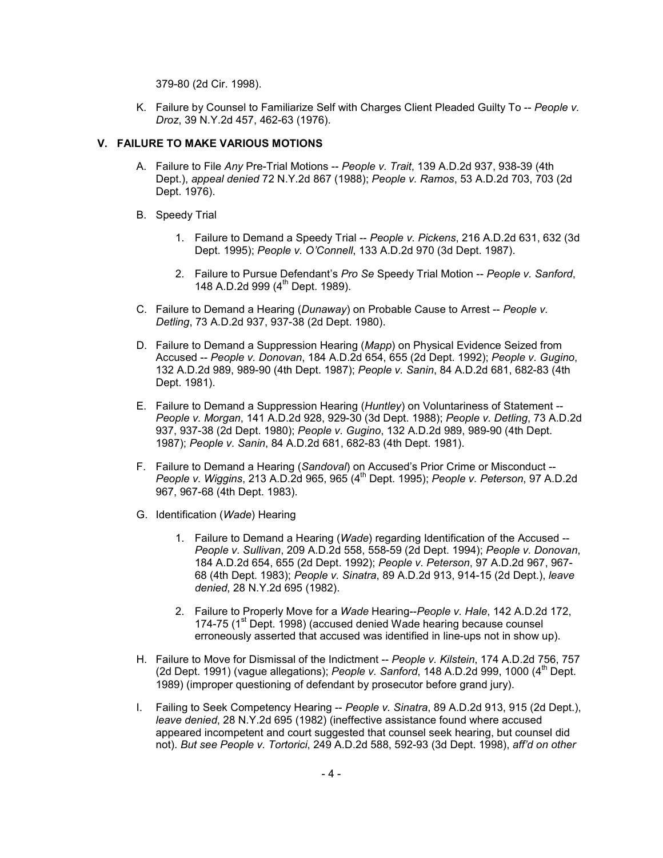379-80 (2d Cir. 1998).

K. Failure by Counsel to Familiarize Self with Charges Client Pleaded Guilty To -- *People v. Droz*, 39 N.Y.2d 457, 462-63 (1976).

## **V. FAILURE TO MAKE VARIOUS MOTIONS**

- A. Failure to File *Any* Pre-Trial Motions -- *People v. Trait*, 139 A.D.2d 937, 938-39 (4th Dept.), *appeal denied* 72 N.Y.2d 867 (1988); *People v. Ramos*, 53 A.D.2d 703, 703 (2d Dept. 1976).
- B. Speedy Trial
	- 1. Failure to Demand a Speedy Trial -- *People v. Pickens*, 216 A.D.2d 631, 632 (3d Dept. 1995); *People v. O'Connell*, 133 A.D.2d 970 (3d Dept. 1987).
	- 2. Failure to Pursue Defendant's *Pro Se* Speedy Trial Motion -- *People v. Sanford*, 148 A.D.2d 999 (4<sup>th</sup> Dept. 1989).
- C. Failure to Demand a Hearing (*Dunaway*) on Probable Cause to Arrest -- *People v. Detling*, 73 A.D.2d 937, 937-38 (2d Dept. 1980).
- D. Failure to Demand a Suppression Hearing (*Mapp*) on Physical Evidence Seized from Accused -- *People v. Donovan*, 184 A.D.2d 654, 655 (2d Dept. 1992); *People v. Gugino*, 132 A.D.2d 989, 989-90 (4th Dept. 1987); *People v. Sanin*, 84 A.D.2d 681, 682-83 (4th Dept. 1981).
- E. Failure to Demand a Suppression Hearing (*Huntley*) on Voluntariness of Statement -- *People v. Morgan*, 141 A.D.2d 928, 929-30 (3d Dept. 1988); *People v. Detling*, 73 A.D.2d 937, 937-38 (2d Dept. 1980); *People v. Gugino*, 132 A.D.2d 989, 989-90 (4th Dept. 1987); *People v. Sanin*, 84 A.D.2d 681, 682-83 (4th Dept. 1981).
- F. Failure to Demand a Hearing (*Sandoval*) on Accused's Prior Crime or Misconduct -- *People v. Wiggins*, 213 A.D.2d 965, 965 (4th Dept. 1995); *People v. Peterson*, 97 A.D.2d 967, 967-68 (4th Dept. 1983).
- G. Identification (*Wade*) Hearing
	- 1. Failure to Demand a Hearing (*Wade*) regarding Identification of the Accused -- *People v. Sullivan*, 209 A.D.2d 558, 558-59 (2d Dept. 1994); *People v. Donovan*, 184 A.D.2d 654, 655 (2d Dept. 1992); *People v. Peterson*, 97 A.D.2d 967, 967- 68 (4th Dept. 1983); *People v. Sinatra*, 89 A.D.2d 913, 914-15 (2d Dept.), *leave denied*, 28 N.Y.2d 695 (1982).
	- 2. Failure to Properly Move for a *Wade* Hearing--*People v. Hale*, 142 A.D.2d 172, 174-75 (1<sup>st</sup> Dept. 1998) (accused denied Wade hearing because counsel erroneously asserted that accused was identified in line-ups not in show up).
- H. Failure to Move for Dismissal of the Indictment -- *People v. Kilstein*, 174 A.D.2d 756, 757 (2d Dept. 1991) (vague allegations); *People v. Sanford*, 148 A.D.2d 999, 1000 (4th Dept. 1989) (improper questioning of defendant by prosecutor before grand jury).
- I. Failing to Seek Competency Hearing -- *People v. Sinatra*, 89 A.D.2d 913, 915 (2d Dept.), *leave denied*, 28 N.Y.2d 695 (1982) (ineffective assistance found where accused appeared incompetent and court suggested that counsel seek hearing, but counsel did not). *But see People v. Tortorici*, 249 A.D.2d 588, 592-93 (3d Dept. 1998), *aff'd on other*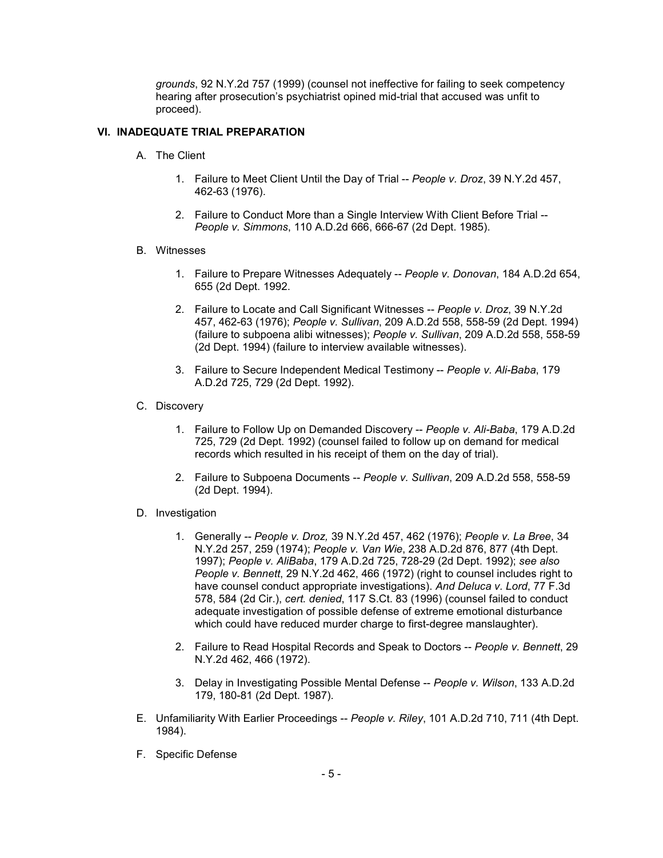*grounds*, 92 N.Y.2d 757 (1999) (counsel not ineffective for failing to seek competency hearing after prosecution's psychiatrist opined mid-trial that accused was unfit to proceed).

## **VI. INADEQUATE TRIAL PREPARATION**

- A. The Client
	- 1. Failure to Meet Client Until the Day of Trial -- *People v. Droz*, 39 N.Y.2d 457, 462-63 (1976).
	- 2. Failure to Conduct More than a Single Interview With Client Before Trial -- *People v. Simmons*, 110 A.D.2d 666, 666-67 (2d Dept. 1985).
- B. Witnesses
	- 1. Failure to Prepare Witnesses Adequately -- *People v. Donovan*, 184 A.D.2d 654, 655 (2d Dept. 1992.
	- 2. Failure to Locate and Call Significant Witnesses -- *People v. Droz*, 39 N.Y.2d 457, 462-63 (1976); *People v. Sullivan*, 209 A.D.2d 558, 558-59 (2d Dept. 1994) (failure to subpoena alibi witnesses); *People v. Sullivan*, 209 A.D.2d 558, 558-59 (2d Dept. 1994) (failure to interview available witnesses).
	- 3. Failure to Secure Independent Medical Testimony -- *People v. Ali-Baba*, 179 A.D.2d 725, 729 (2d Dept. 1992).
- C. Discovery
	- 1. Failure to Follow Up on Demanded Discovery -- *People v. Ali-Baba*, 179 A.D.2d 725, 729 (2d Dept. 1992) (counsel failed to follow up on demand for medical records which resulted in his receipt of them on the day of trial).
	- 2. Failure to Subpoena Documents -- *People v. Sullivan*, 209 A.D.2d 558, 558-59 (2d Dept. 1994).
- D. Investigation
	- 1. Generally *-- People v. Droz,* 39 N.Y.2d 457, 462 (1976); *People v. La Bree*, 34 N.Y.2d 257, 259 (1974); *People v. Van Wie*, 238 A.D.2d 876, 877 (4th Dept. 1997); *People v. AliBaba*, 179 A.D.2d 725, 728-29 (2d Dept. 1992); *see also People v. Bennett*, 29 N.Y.2d 462, 466 (1972) (right to counsel includes right to have counsel conduct appropriate investigations). *And Deluca v. Lord*, 77 F.3d 578, 584 (2d Cir.), *cert. denied*, 117 S.Ct. 83 (1996) (counsel failed to conduct adequate investigation of possible defense of extreme emotional disturbance which could have reduced murder charge to first-degree manslaughter).
	- 2. Failure to Read Hospital Records and Speak to Doctors -- *People v. Bennett*, 29 N.Y.2d 462, 466 (1972).
	- 3. Delay in Investigating Possible Mental Defense -- *People v. Wilson*, 133 A.D.2d 179, 180-81 (2d Dept. 1987).
- E. Unfamiliarity With Earlier Proceedings -- *People v. Riley*, 101 A.D.2d 710, 711 (4th Dept. 1984).
- F. Specific Defense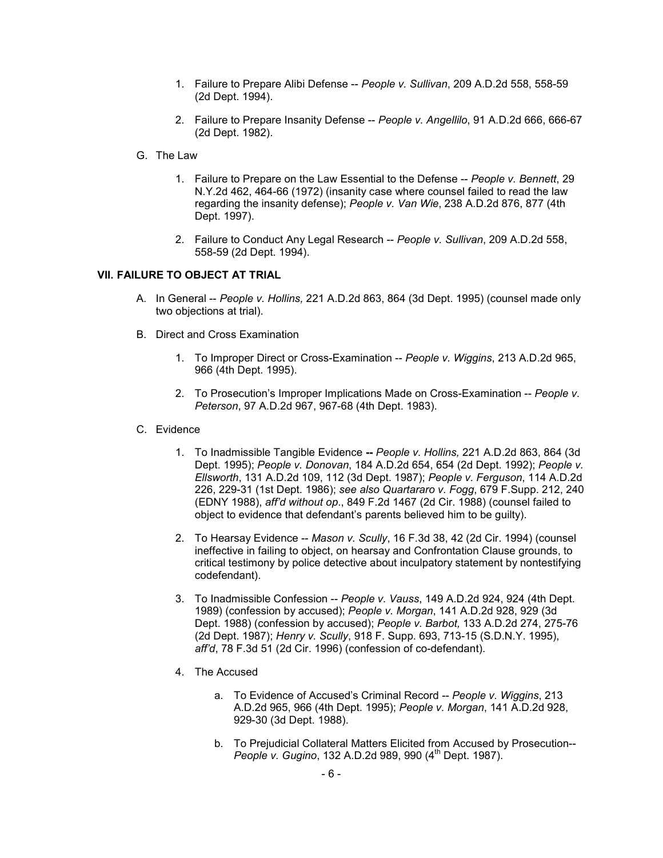- 1. Failure to Prepare Alibi Defense -- *People v. Sullivan*, 209 A.D.2d 558, 558-59 (2d Dept. 1994).
- 2. Failure to Prepare Insanity Defense -- *People v. Angellilo*, 91 A.D.2d 666, 666-67 (2d Dept. 1982).
- G. The Law
	- 1. Failure to Prepare on the Law Essential to the Defense -- *People v. Bennett*, 29 N.Y.2d 462, 464-66 (1972) (insanity case where counsel failed to read the law regarding the insanity defense); *People v. Van Wie*, 238 A.D.2d 876, 877 (4th Dept. 1997).
	- 2. Failure to Conduct Any Legal Research -- *People v. Sullivan*, 209 A.D.2d 558, 558-59 (2d Dept. 1994).

#### **VII. FAILURE TO OBJECT AT TRIAL**

- A. In General -- *People v. Hollins,* 221 A.D.2d 863, 864 (3d Dept. 1995) (counsel made only two objections at trial).
- B. Direct and Cross Examination
	- 1. To Improper Direct or Cross-Examination -- *People v. Wiggins*, 213 A.D.2d 965, 966 (4th Dept. 1995).
	- 2. To Prosecution's Improper Implications Made on Cross-Examination -- *People v. Peterson*, 97 A.D.2d 967, 967-68 (4th Dept. 1983).
- C. Evidence
	- 1. To Inadmissible Tangible Evidence **--** *People v. Hollins,* 221 A.D.2d 863, 864 (3d Dept. 1995); *People v. Donovan*, 184 A.D.2d 654, 654 (2d Dept. 1992); *People v. Ellsworth*, 131 A.D.2d 109, 112 (3d Dept. 1987); *People v. Ferguson*, 114 A.D.2d 226, 229-31 (1st Dept. 1986); *see also Quartararo v. Fogg*, 679 F.Supp. 212, 240 (EDNY 1988), *aff'd without op*., 849 F.2d 1467 (2d Cir. 1988) (counsel failed to object to evidence that defendant's parents believed him to be guilty).
	- 2. To Hearsay Evidence -- *Mason v. Scully*, 16 F.3d 38, 42 (2d Cir. 1994) (counsel ineffective in failing to object, on hearsay and Confrontation Clause grounds, to critical testimony by police detective about inculpatory statement by nontestifying codefendant).
	- 3. To Inadmissible Confession -- *People v. Vauss*, 149 A.D.2d 924, 924 (4th Dept. 1989) (confession by accused); *People v. Morgan*, 141 A.D.2d 928, 929 (3d Dept. 1988) (confession by accused); *People v. Barbot,* 133 A.D.2d 274, 275-76 (2d Dept. 1987); *Henry v. Scully*, 918 F. Supp. 693, 713-15 (S.D.N.Y. 1995), *aff'd*, 78 F.3d 51 (2d Cir. 1996) (confession of co-defendant).
	- 4. The Accused
		- a. To Evidence of Accused's Criminal Record -- *People v. Wiggins*, 213 A.D.2d 965, 966 (4th Dept. 1995); *People v. Morgan*, 141 A.D.2d 928, 929-30 (3d Dept. 1988).
		- b. To Prejudicial Collateral Matters Elicited from Accused by Prosecution-- *People v. Gugino*, 132 A.D.2d 989, 990 (4<sup>th</sup> Dept. 1987).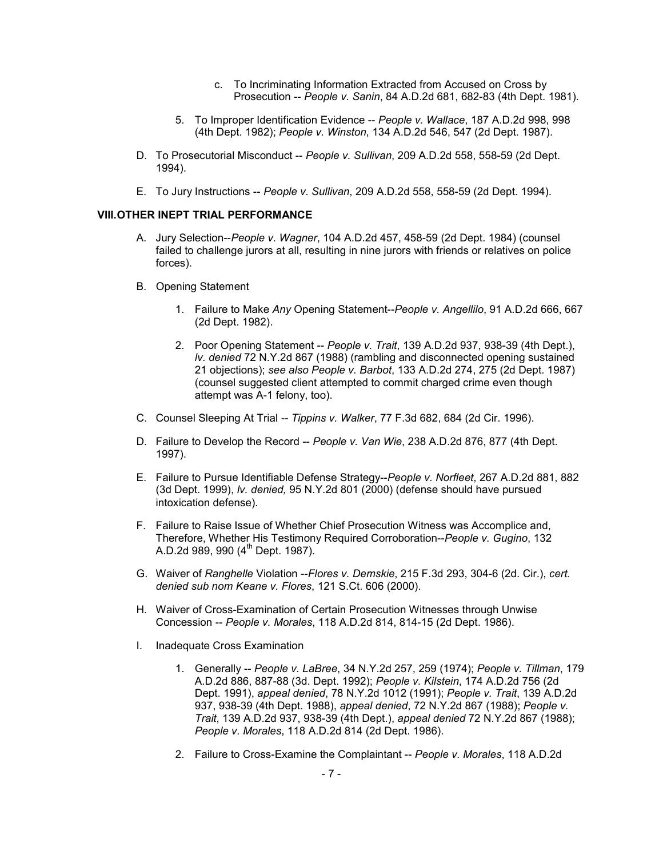- c. To Incriminating Information Extracted from Accused on Cross by Prosecution -- *People v. Sanin*, 84 A.D.2d 681, 682-83 (4th Dept. 1981).
- 5. To Improper Identification Evidence -- *People v. Wallace*, 187 A.D.2d 998, 998 (4th Dept. 1982); *People v. Winston*, 134 A.D.2d 546, 547 (2d Dept. 1987).
- D. To Prosecutorial Misconduct -- *People v. Sullivan*, 209 A.D.2d 558, 558-59 (2d Dept. 1994).
- E. To Jury Instructions -- *People v. Sullivan*, 209 A.D.2d 558, 558-59 (2d Dept. 1994).

## **VIII. OTHER INEPT TRIAL PERFORMANCE**

- A. Jury Selection--*People v. Wagner*, 104 A.D.2d 457, 458-59 (2d Dept. 1984) (counsel failed to challenge jurors at all, resulting in nine jurors with friends or relatives on police forces).
- B. Opening Statement
	- 1. Failure to Make *Any* Opening Statement--*People v. Angellilo*, 91 A.D.2d 666, 667 (2d Dept. 1982).
	- 2. Poor Opening Statement -- *People v. Trait*, 139 A.D.2d 937, 938-39 (4th Dept.), *lv. denied* 72 N.Y.2d 867 (1988) (rambling and disconnected opening sustained 21 objections); *see also People v. Barbot*, 133 A.D.2d 274, 275 (2d Dept. 1987) (counsel suggested client attempted to commit charged crime even though attempt was A-1 felony, too).
- C. Counsel Sleeping At Trial *-- Tippins v. Walker*, 77 F.3d 682, 684 (2d Cir. 1996).
- D. Failure to Develop the Record -- *People v. Van Wie*, 238 A.D.2d 876, 877 (4th Dept. 1997).
- E. Failure to Pursue Identifiable Defense Strategy--*People v. Norfleet*, 267 A.D.2d 881, 882 (3d Dept. 1999), *lv. denied,* 95 N.Y.2d 801 (2000) (defense should have pursued intoxication defense).
- F. Failure to Raise Issue of Whether Chief Prosecution Witness was Accomplice and, Therefore, Whether His Testimony Required Corroboration--*People v. Gugino*, 132 A.D.2d 989, 990  $(4^{th}$  Dept. 1987).
- G. Waiver of *Ranghelle* Violation --*Flores v. Demskie*, 215 F.3d 293, 304-6 (2d. Cir.), *cert. denied sub nom Keane v. Flores*, 121 S.Ct. 606 (2000).
- H. Waiver of Cross-Examination of Certain Prosecution Witnesses through Unwise Concession -- *People v. Morales*, 118 A.D.2d 814, 814-15 (2d Dept. 1986).
- I. Inadequate Cross Examination
	- 1. Generally -- *People v. LaBree*, 34 N.Y.2d 257, 259 (1974); *People v. Tillman*, 179 A.D.2d 886, 887-88 (3d. Dept. 1992); *People v. Kilstein*, 174 A.D.2d 756 (2d Dept. 1991), *appeal denied*, 78 N.Y.2d 1012 (1991); *People v. Trait*, 139 A.D.2d 937, 938-39 (4th Dept. 1988), *appeal denied*, 72 N.Y.2d 867 (1988); *People v. Trait*, 139 A.D.2d 937, 938-39 (4th Dept.), *appeal denied* 72 N.Y.2d 867 (1988); *People v. Morales*, 118 A.D.2d 814 (2d Dept. 1986).
	- 2. Failure to Cross-Examine the Complaintant -- *People v. Morales*, 118 A.D.2d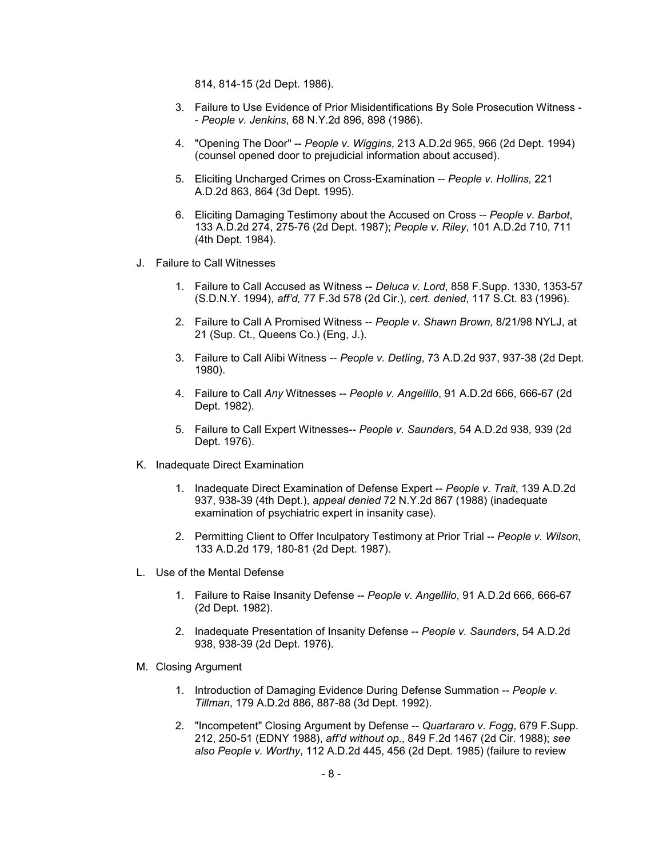814, 814-15 (2d Dept. 1986).

- 3. Failure to Use Evidence of Prior Misidentifications By Sole Prosecution Witness - *People v. Jenkins*, 68 N.Y.2d 896, 898 (1986).
- 4. "Opening The Door" -- *People v. Wiggins*, 213 A.D.2d 965, 966 (2d Dept. 1994) (counsel opened door to prejudicial information about accused).
- 5. Eliciting Uncharged Crimes on Cross-Examination -- *People v. Hollins,* 221 A.D.2d 863, 864 (3d Dept. 1995).
- 6. Eliciting Damaging Testimony about the Accused on Cross -- *People v. Barbot*, 133 A.D.2d 274, 275-76 (2d Dept. 1987); *People v. Riley*, 101 A.D.2d 710, 711 (4th Dept. 1984).
- J. Failure to Call Witnesses
	- 1. Failure to Call Accused as Witness -- *Deluca v. Lord*, 858 F.Supp. 1330, 1353-57 (S.D.N.Y. 1994), *aff'd,* 77 F.3d 578 (2d Cir.), *cert. denied*, 117 S.Ct. 83 (1996).
	- 2. Failure to Call A Promised Witness -- *People v. Shawn Brown,* 8/21/98 NYLJ, at 21 (Sup. Ct., Queens Co.) (Eng, J.).
	- 3. Failure to Call Alibi Witness -- *People v. Detling*, 73 A.D.2d 937, 937-38 (2d Dept. 1980).
	- 4. Failure to Call *Any* Witnesses -- *People v. Angellilo*, 91 A.D.2d 666, 666-67 (2d Dept. 1982).
	- 5. Failure to Call Expert Witnesses-- *People v. Saunders*, 54 A.D.2d 938, 939 (2d Dept. 1976).
- K. Inadequate Direct Examination
	- 1. Inadequate Direct Examination of Defense Expert -- *People v. Trait*, 139 A.D.2d 937, 938-39 (4th Dept.), *appeal denied* 72 N.Y.2d 867 (1988) (inadequate examination of psychiatric expert in insanity case).
	- 2. Permitting Client to Offer Inculpatory Testimony at Prior Trial -- *People v. Wilson*, 133 A.D.2d 179, 180-81 (2d Dept. 1987).
- L. Use of the Mental Defense
	- 1. Failure to Raise Insanity Defense -- *People v. Angellilo*, 91 A.D.2d 666, 666-67 (2d Dept. 1982).
	- 2. Inadequate Presentation of Insanity Defense -- *People v. Saunders*, 54 A.D.2d 938, 938-39 (2d Dept. 1976).
- M. Closing Argument
	- 1. Introduction of Damaging Evidence During Defense Summation -- *People v. Tillman*, 179 A.D.2d 886, 887-88 (3d Dept. 1992).
	- 2. "Incompetent" Closing Argument by Defense -- *Quartararo v. Fogg*, 679 F.Supp. 212, 250-51 (EDNY 1988), *aff'd without op*., 849 F.2d 1467 (2d Cir. 1988); *see also People v. Worthy*, 112 A.D.2d 445, 456 (2d Dept. 1985) (failure to review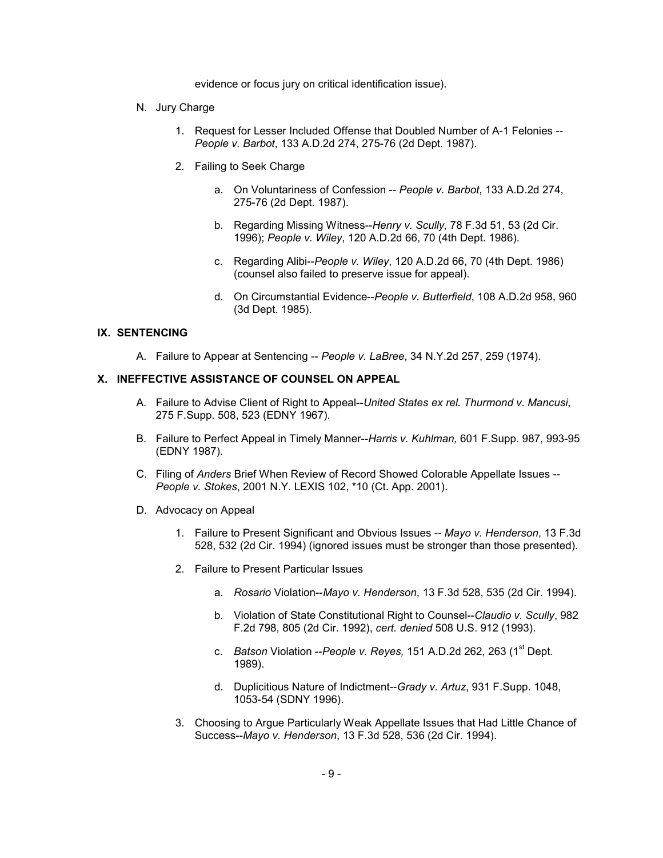evidence or focus jury on critical identification issue).

- N. Jury Charge
	- 1. Request for Lesser Included Offense that Doubled Number of A-1 Felonies -- *People v. Barbot*, 133 A.D.2d 274, 275-76 (2d Dept. 1987).
	- 2. Failing to Seek Charge
		- a. On Voluntariness of Confession -- *People v. Barbot*, 133 A.D.2d 274, 275-76 (2d Dept. 1987).
		- b. Regarding Missing Witness--*Henry v. Scully,* 78 F.3d 51, 53 (2d Cir. 1996); *People v. Wiley*, 120 A.D.2d 66, 70 (4th Dept. 1986).
		- c. Regarding Alibi--*People v. Wiley*, 120 A.D.2d 66, 70 (4th Dept. 1986) (counsel also failed to preserve issue for appeal).
		- d. On Circumstantial Evidence--*People v. Butterfield*, 108 A.D.2d 958, 960 (3d Dept. 1985).

#### **IX. SENTENCING**

A. Failure to Appear at Sentencing -- *People v. LaBree*, 34 N.Y.2d 257, 259 (1974).

# **X. INEFFECTIVE ASSISTANCE OF COUNSEL ON APPEAL**

- A. Failure to Advise Client of Right to Appeal--*United States ex rel. Thurmond v. Mancusi*, 275 F.Supp. 508, 523 (EDNY 1967).
- B. Failure to Perfect Appeal in Timely Manner--*Harris v. Kuhlman,* 601 F.Supp. 987, 993-95 (EDNY 1987).
- C. Filing of *Anders* Brief When Review of Record Showed Colorable Appellate Issues -- *People v. Stokes*, 2001 N.Y. LEXIS 102, \*10 (Ct. App. 2001).
- D. Advocacy on Appeal
	- 1. Failure to Present Significant and Obvious Issues -- *Mayo v. Henderson*, 13 F.3d 528, 532 (2d Cir. 1994) (ignored issues must be stronger than those presented).
	- 2. Failure to Present Particular Issues
		- a. *Rosario* Violation--*Mayo v. Henderson*, 13 F.3d 528, 535 (2d Cir. 1994).
		- b. Violation of State Constitutional Right to Counsel--*Claudio v. Scully*, 982 F.2d 798, 805 (2d Cir. 1992), *cert. denied* 508 U.S. 912 (1993).
		- c. *Batson* Violation --*People v. Reyes,* 151 A.D.2d 262, 263 (1st Dept. 1989).
		- d. Duplicitious Nature of Indictment--*Grady v. Artuz*, 931 F.Supp. 1048, 1053-54 (SDNY 1996).
	- 3. Choosing to Argue Particularly Weak Appellate Issues that Had Little Chance of Success--*Mayo v. Henderson*, 13 F.3d 528, 536 (2d Cir. 1994).